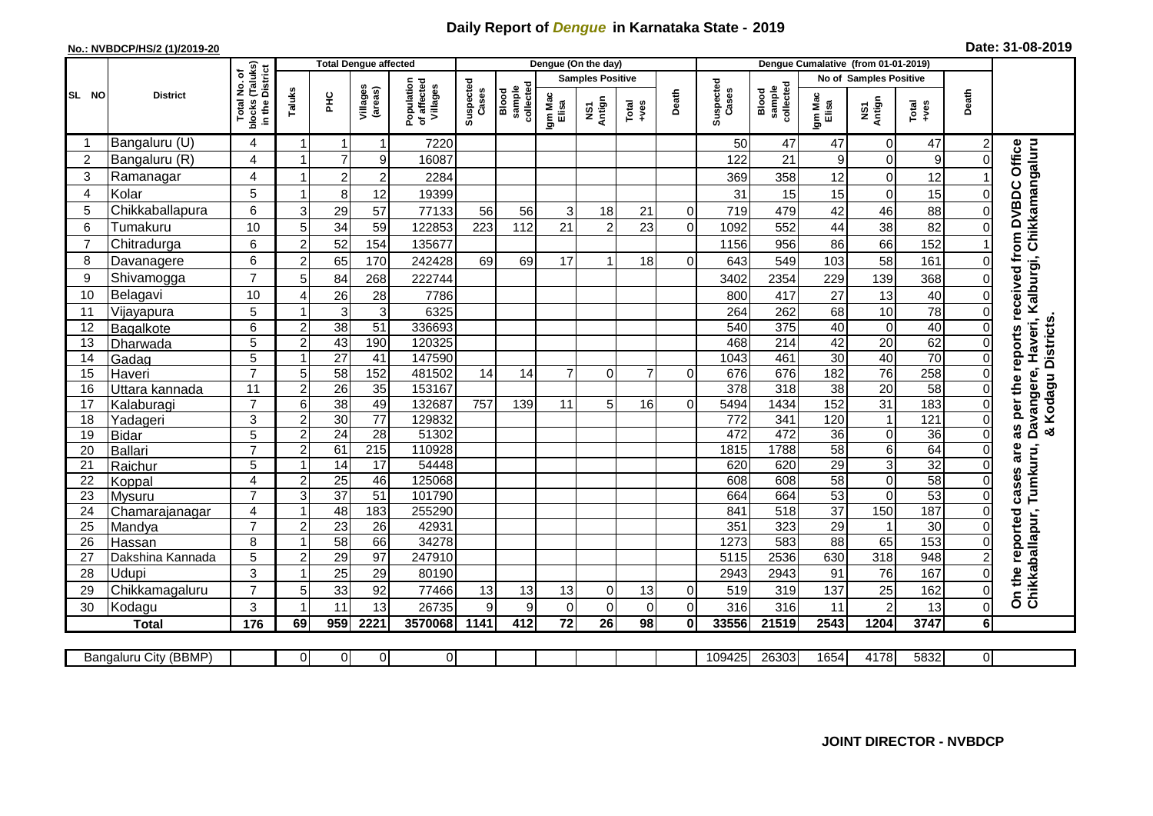## **Daily Report of** *Dengue* **in Karnataka State - 2019**

## **No.: NVBDCP/HS/2 (1)/2019-20**

| Date: 31-08-2019 |  |  |  |  |
|------------------|--|--|--|--|
|------------------|--|--|--|--|

|                 |                       |                                                           |                |                 | <b>Total Dengue affected</b> |                                       |                    |                              |                  | Dengue (On the day)     |                |                |                    |                              |                               |                  |                  |                |                                    |
|-----------------|-----------------------|-----------------------------------------------------------|----------------|-----------------|------------------------------|---------------------------------------|--------------------|------------------------------|------------------|-------------------------|----------------|----------------|--------------------|------------------------------|-------------------------------|------------------|------------------|----------------|------------------------------------|
|                 |                       | ৳                                                         |                |                 |                              |                                       |                    |                              |                  | <b>Samples Positive</b> |                |                |                    |                              | <b>No of Samples Positive</b> |                  |                  |                |                                    |
| SL NO           | <b>District</b>       | blocks (Taluks)<br>in the District<br>Total No.<br>blocks | Taluks         | 오<br>도          | Villages<br>(areas)          | Population<br>of affected<br>Villages | Suspected<br>Cases | collected<br>sample<br>Blood | Igm Mac<br>Elisa | NS1<br>Antign           | Total<br>+ves  | Death          | Suspected<br>Cases | sample<br>collected<br>Blood | Igm Mac<br>Elisa              | NS1<br>Antign    | Total<br>+ves    | Death          |                                    |
|                 | Bangaluru (U)         | 4                                                         |                | -1              | 1                            | 7220                                  |                    |                              |                  |                         |                |                | 50                 | 47                           | 47                            | $\Omega$         | 47               | 2              |                                    |
| $\overline{2}$  | Bangaluru (R)         | 4                                                         |                | $\overline{7}$  | 9                            | 16087                                 |                    |                              |                  |                         |                |                | 122                | 21                           | $\boldsymbol{9}$              |                  | $\boldsymbol{9}$ | 0              | Office                             |
| 3               | Ramanagar             | 4                                                         |                | $\overline{c}$  | $\overline{2}$               | 2284                                  |                    |                              |                  |                         |                |                | 369                | 358                          | 12                            | 0                | 12               |                | Haveri, Kalburgi, Chikkamangaluru  |
| 4               | Kolar                 | 5                                                         | $\overline{1}$ | 8               | 12                           | 19399                                 |                    |                              |                  |                         |                |                | 31                 | 15                           | 15                            | $\Omega$         | 15               | 0              |                                    |
| 5               | Chikkaballapura       | 6                                                         | 3              | 29              | 57                           | 77133                                 | 56                 | 56                           | 3                | 18                      | 21             | $\mathbf 0$    | 719                | 479                          | 42                            | 46               | 88               | 0              |                                    |
| 6               | Tumakuru              | 10                                                        | 5              | 34              | 59                           | 122853                                | 223                | 112                          | 21               | $\overline{2}$          | 23             | $\mathbf 0$    | 1092               | 552                          | 44                            | 38               | 82               | 0              |                                    |
| $\overline{7}$  | Chitradurga           | 6                                                         | $\overline{c}$ | 52              | 154                          | 135677                                |                    |                              |                  |                         |                |                | 1156               | 956                          | 86                            | 66               | 152              |                |                                    |
| 8               | Davanagere            | 6                                                         | $\overline{2}$ | 65              | 170                          | 242428                                | 69                 | 69                           | 17               | -1                      | 18             | $\Omega$       | 643                | 549                          | 103                           | 58               | 161              | 0              |                                    |
| 9               | Shivamogga            | $\overline{7}$                                            | 5              | 84              | 268                          | 222744                                |                    |                              |                  |                         |                |                | 3402               | 2354                         | 229                           | 139              | 368              | 0              | received from DVBDC                |
| 10              | Belagavi              | 10                                                        | $\overline{4}$ | 26              | 28                           | 7786                                  |                    |                              |                  |                         |                |                | 800                | 417                          | 27                            | 13               | 40               | 0              |                                    |
| 11              | Vijayapura            | 5                                                         |                | 3               | 3                            | 6325                                  |                    |                              |                  |                         |                |                | 264                | 262                          | 68                            | 10               | 78               | 0              |                                    |
| 12              | Bagalkote             | 6                                                         | $\overline{2}$ | 38              | 51                           | 336693                                |                    |                              |                  |                         |                |                | 540                | $\overline{375}$             | 40                            | $\Omega$         | 40               | 0              | Kodagu Districts                   |
| 13              | Dharwada              | 5                                                         | $\overline{2}$ | 43              | 190                          | 120325                                |                    |                              |                  |                         |                |                | 468                | $\overline{214}$             | 42                            | 20               | 62               | 0              | as per the reports                 |
| 14              | Gadag                 | 5                                                         | 1              | $\overline{27}$ | $\overline{41}$              | 147590                                |                    |                              |                  |                         |                |                | 1043               | 461                          | 30                            | 40               | 70               | $\overline{0}$ |                                    |
| 15              | Haveri                | $\overline{7}$                                            | 5              | 58              | 152                          | 481502                                | 14                 | 14                           | $\overline{7}$   | $\Omega$                | $\overline{7}$ | $\Omega$       | 676                | 676                          | 182                           | 76               | 258              | 0              | Davangere,                         |
| 16              | Uttara kannada        | 11                                                        | $\overline{c}$ | $\overline{26}$ | 35                           | 153167                                |                    |                              |                  |                         |                |                | 378                | 318                          | 38                            | 20               | 58               | 0              |                                    |
| 17              | Kalaburagi            | $\overline{7}$                                            | $\overline{6}$ | 38              | 49                           | 132687                                | $\overline{757}$   | 139                          | 11               | 5                       | 16             | $\Omega$       | 5494               | 1434                         | 152                           | $\overline{31}$  | 183              | 0              |                                    |
| $\overline{18}$ | Yadageri              | 3                                                         | $\overline{2}$ | 30              | $\overline{77}$              | 129832                                |                    |                              |                  |                         |                |                | 772                | 341                          | 120                           |                  | 121              | 0              |                                    |
| 19              | <b>Bidar</b>          | 5                                                         | $\overline{c}$ | $\overline{24}$ | $\overline{28}$              | 51302                                 |                    |                              |                  |                         |                |                | 472                | 472                          | 36                            | $\Omega$         | 36               | 0              | ×                                  |
| 20              | <b>Ballari</b>        | $\overline{7}$                                            | $\overline{2}$ | 61              | 215                          | 110928                                |                    |                              |                  |                         |                |                | 1815               | 1788                         | 58                            | 6                | 64               | 0              | are                                |
| 21              | Raichur               | 5                                                         | $\overline{ }$ | 14              | $\overline{17}$              | 54448                                 |                    |                              |                  |                         |                |                | 620                | 620                          | 29                            | 3                | $\overline{32}$  | 0              | Tumkuru,                           |
| $\overline{22}$ | Koppal                | 4                                                         | $\overline{2}$ | $\overline{25}$ | 46                           | 125068                                |                    |                              |                  |                         |                |                | 608                | 608                          | 58                            | $\Omega$         | 58               | 0              | cases                              |
| 23              | <b>Mysuru</b>         | $\overline{7}$                                            | $\overline{3}$ | $\overline{37}$ | $\overline{51}$              | 101790                                |                    |                              |                  |                         |                |                | 664                | 664                          | 53                            | $\Omega$         | 53               | 0              |                                    |
| 24              | Chamarajanagar        | 4                                                         | 1              | 48              | 183                          | 255290                                |                    |                              |                  |                         |                |                | 841                | 518                          | $\overline{37}$               | 150              | 187              | 0              |                                    |
| 25              | Mandya                | $\overline{7}$                                            | $\overline{2}$ | 23              | $\overline{26}$              | 42931                                 |                    |                              |                  |                         |                |                | 351                | 323                          | 29                            |                  | 30               | 0              |                                    |
| 26              | Hassan                | 8                                                         | 1              | 58              | 66                           | 34278                                 |                    |                              |                  |                         |                |                | 1273               | 583                          | $\overline{88}$               | 65               | 153              | 0              |                                    |
| 27              | Dakshina Kannada      | 5                                                         | $\overline{2}$ | 29              | $\overline{97}$              | 247910                                |                    |                              |                  |                         |                |                | 5115               | 2536                         | 630                           | $\overline{318}$ | 948              | $\overline{2}$ |                                    |
| 28              | Udupi                 | 3                                                         |                | 25              | 29                           | 80190                                 |                    |                              |                  |                         |                |                | 2943               | 2943                         | 91                            | 76               | 167              | 0              | On the reported<br>Chikkaballapur, |
| 29              | Chikkamagaluru        | $\overline{7}$                                            | 5              | 33              | 92                           | 77466                                 | 13                 | 13                           | 13               | $\overline{0}$          | 13             | $\overline{0}$ | 519                | 319                          | 137                           | 25               | 162              | 0              |                                    |
| 30              | Kodagu                | 3                                                         | -1             | 11              | 13                           | 26735                                 | 9                  | 9                            | $\Omega$         | $\mathbf 0$             | $\mathbf 0$    | $\overline{0}$ | 316                | 316                          | 11                            | 2                | 13               | $\Omega$       |                                    |
|                 | <b>Total</b>          | 176                                                       | 69             | 959             | 2221                         | 3570068                               | 1141               | 412                          | $\overline{72}$  | 26                      | 98             | $\mathbf{0}$   | 33556              | 21519                        | 2543                          | 1204             | 3747             | 6 <sup>1</sup> |                                    |
|                 |                       |                                                           |                |                 |                              |                                       |                    |                              |                  |                         |                |                |                    |                              |                               |                  |                  |                |                                    |
|                 | Bangaluru City (BBMP) |                                                           | 0              | $\mathbf 0$     | $\overline{0}$               | $\overline{0}$                        |                    |                              |                  |                         |                |                | 109425             | 26303                        | 1654                          | 4178             | 5832             | Οl             |                                    |